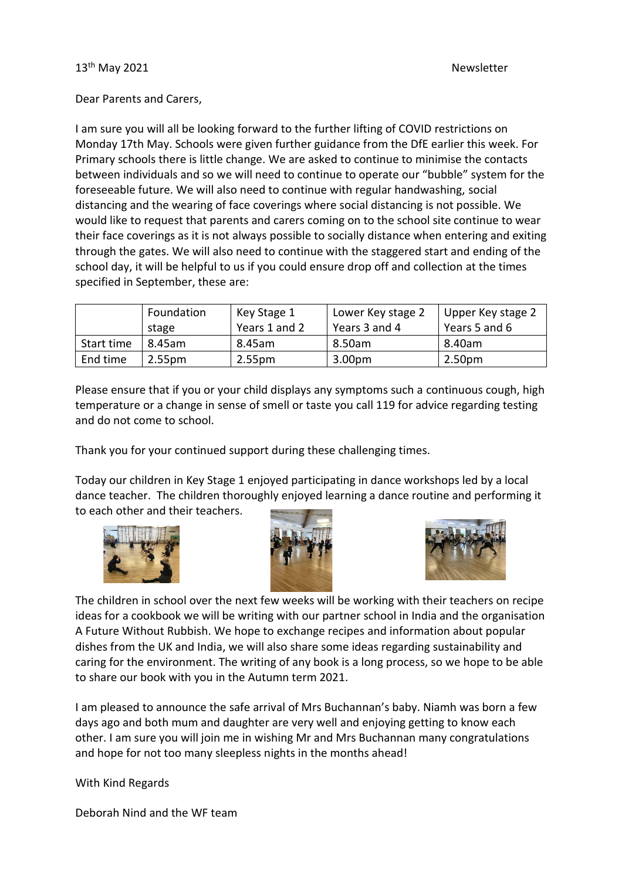# Dear Parents and Carers,

I am sure you will all be looking forward to the further lifting of COVID restrictions on Monday 17th May. Schools were given further guidance from the DfE earlier this week. For Primary schools there is little change. We are asked to continue to minimise the contacts between individuals and so we will need to continue to operate our "bubble" system for the foreseeable future. We will also need to continue with regular handwashing, social distancing and the wearing of face coverings where social distancing is not possible. We would like to request that parents and carers coming on to the school site continue to wear their face coverings as it is not always possible to socially distance when entering and exiting through the gates. We will also need to continue with the staggered start and ending of the school day, it will be helpful to us if you could ensure drop off and collection at the times specified in September, these are:

|            | Foundation         | Key Stage 1        | Lower Key stage 2  | Upper Key stage 2  |
|------------|--------------------|--------------------|--------------------|--------------------|
|            | stage              | Years 1 and 2      | Years 3 and 4      | Years 5 and 6      |
| Start time | 8.45am             | 8.45am             | 8.50am             | 8.40am             |
| End time   | 2.55 <sub>pm</sub> | 2.55 <sub>pm</sub> | 3.00 <sub>pm</sub> | 2.50 <sub>pm</sub> |

Please ensure that if you or your child displays any symptoms such a continuous cough, high temperature or a change in sense of smell or taste you call 119 for advice regarding testing and do not come to school.

Thank you for your continued support during these challenging times.

Today our children in Key Stage 1 enjoyed participating in dance workshops led by a local dance teacher. The children thoroughly enjoyed learning a dance routine and performing it to each other and their teachers.







The children in school over the next few weeks will be working with their teachers on recipe ideas for a cookbook we will be writing with our partner school in India and the organisation A Future Without Rubbish. We hope to exchange recipes and information about popular dishes from the UK and India, we will also share some ideas regarding sustainability and caring for the environment. The writing of any book is a long process, so we hope to be able to share our book with you in the Autumn term 2021.

I am pleased to announce the safe arrival of Mrs Buchannan's baby. Niamh was born a few days ago and both mum and daughter are very well and enjoying getting to know each other. I am sure you will join me in wishing Mr and Mrs Buchannan many congratulations and hope for not too many sleepless nights in the months ahead!

With Kind Regards

Deborah Nind and the WF team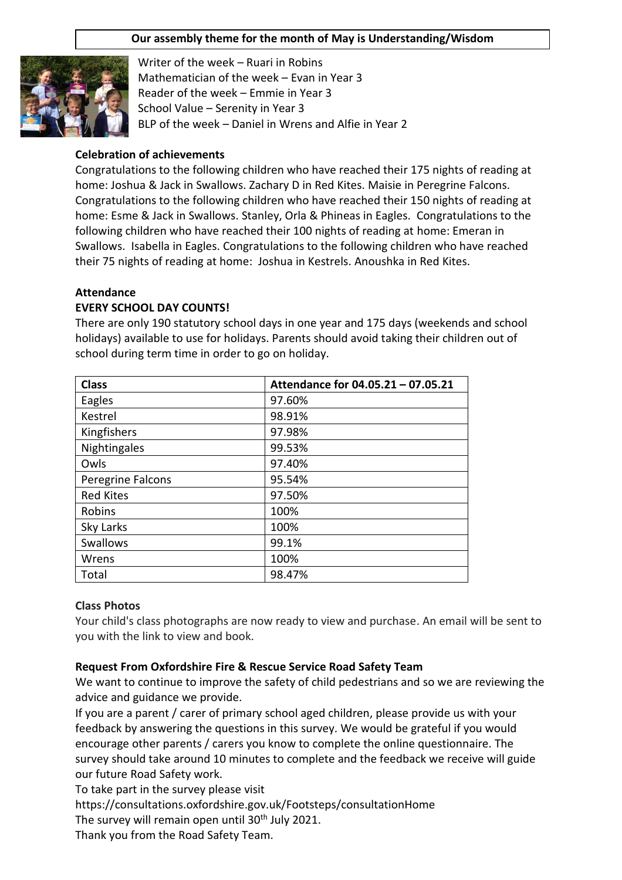# **Our assembly theme for the month of May is Understanding/Wisdom**



Writer of the week – Ruari in Robins Mathematician of the week – Evan in Year 3 Reader of the week – Emmie in Year 3 School Value – Serenity in Year 3 BLP of the week – Daniel in Wrens and Alfie in Year 2

# **Celebration of achievements**

Congratulations to the following children who have reached their 175 nights of reading at home: Joshua & Jack in Swallows. Zachary D in Red Kites. Maisie in Peregrine Falcons. Congratulations to the following children who have reached their 150 nights of reading at home: Esme & Jack in Swallows. Stanley, Orla & Phineas in Eagles. Congratulations to the following children who have reached their 100 nights of reading at home: Emeran in Swallows. Isabella in Eagles. Congratulations to the following children who have reached their 75 nights of reading at home: Joshua in Kestrels. Anoushka in Red Kites.

# **Attendance**

# **EVERY SCHOOL DAY COUNTS!**

There are only 190 statutory school days in one year and 175 days (weekends and school holidays) available to use for holidays. Parents should avoid taking their children out of school during term time in order to go on holiday.

| <b>Class</b>      | Attendance for 04.05.21 - 07.05.21 |
|-------------------|------------------------------------|
| Eagles            | 97.60%                             |
| Kestrel           | 98.91%                             |
| Kingfishers       | 97.98%                             |
| Nightingales      | 99.53%                             |
| Owls              | 97.40%                             |
| Peregrine Falcons | 95.54%                             |
| <b>Red Kites</b>  | 97.50%                             |
| Robins            | 100%                               |
| Sky Larks         | 100%                               |
| Swallows          | 99.1%                              |
| Wrens             | 100%                               |
| Total             | 98.47%                             |

# **Class Photos**

Your child's class photographs are now ready to view and purchase. An email will be sent to you with the link to view and book.

# **Request From Oxfordshire Fire & Rescue Service Road Safety Team**

We want to continue to improve the safety of child pedestrians and so we are reviewing the advice and guidance we provide.

If you are a parent / carer of primary school aged children, please provide us with your feedback by answering the questions in this survey. We would be grateful if you would encourage other parents / carers you know to complete the online questionnaire. The survey should take around 10 minutes to complete and the feedback we receive will guide our future Road Safety work.

To take part in the survey please visit

https://consultations.oxfordshire.gov.uk/Footsteps/consultationHome

The survey will remain open until 30<sup>th</sup> July 2021.

Thank you from the Road Safety Team.